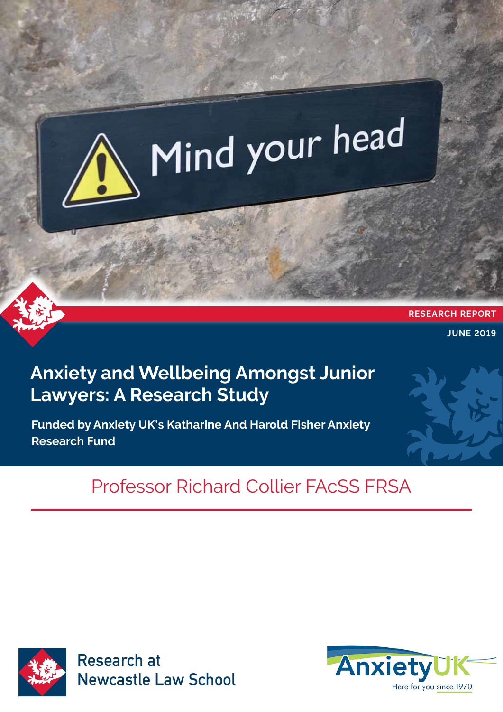

## **Anxiety and Wellbeing Amongst Junior Lawyers: A Research Study**

**Funded by Anxiety UK's Katharine And Harold Fisher Anxiety Research Fund**

# Professor Richard Collier FAcSS FRSA



**Research at Newcastle Law School** 

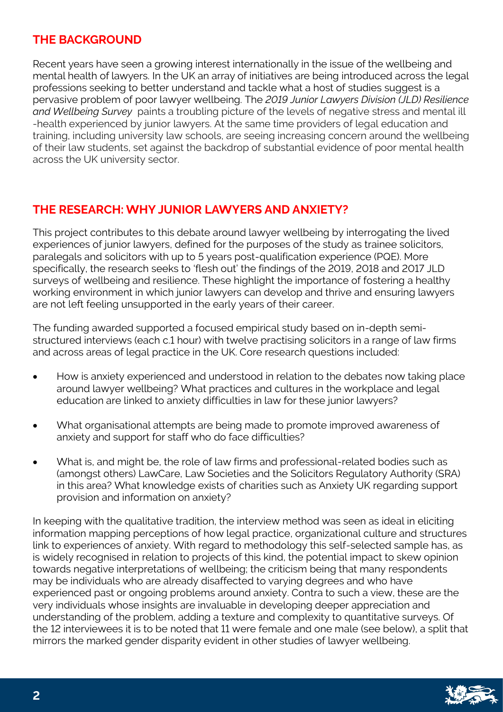## **THE BACKGROUND**

Recent years have seen a growing interest internationally in the issue of the wellbeing and mental health of lawyers. In the UK an array of initiatives are being introduced across the legal professions seeking to better understand and tackle what a host of studies suggest is a pervasive problem of poor lawyer wellbeing. The *2019 Junior Lawyers Division (JLD) Resilience and Wellbeing Survey* paints a troubling picture of the levels of negative stress and mental ill -health experienced by junior lawyers. At the same time providers of legal education and training, including university law schools, are seeing increasing concern around the wellbeing of their law students, set against the backdrop of substantial evidence of poor mental health across the UK university sector.

## **THE RESEARCH: WHY JUNIOR LAWYERS AND ANXIETY?**

This project contributes to this debate around lawyer wellbeing by interrogating the lived experiences of junior lawyers, defined for the purposes of the study as trainee solicitors, paralegals and solicitors with up to 5 years post-qualification experience (PQE). More specifically, the research seeks to 'flesh out' the findings of the 2019, 2018 and 2017 JLD surveys of wellbeing and resilience. These highlight the importance of fostering a healthy working environment in which junior lawyers can develop and thrive and ensuring lawyers are not left feeling unsupported in the early years of their career.

The funding awarded supported a focused empirical study based on in-depth semistructured interviews (each c.1 hour) with twelve practising solicitors in a range of law firms and across areas of legal practice in the UK. Core research questions included:

- How is anxiety experienced and understood in relation to the debates now taking place around lawyer wellbeing? What practices and cultures in the workplace and legal education are linked to anxiety difficulties in law for these junior lawyers?
- What organisational attempts are being made to promote improved awareness of anxiety and support for staff who do face difficulties?
- What is, and might be, the role of law firms and professional-related bodies such as (amongst others) LawCare, Law Societies and the Solicitors Regulatory Authority (SRA) in this area? What knowledge exists of charities such as Anxiety UK regarding support provision and information on anxiety?

In keeping with the qualitative tradition, the interview method was seen as ideal in eliciting information mapping perceptions of how legal practice, organizational culture and structures link to experiences of anxiety. With regard to methodology this self-selected sample has, as is widely recognised in relation to projects of this kind, the potential impact to skew opinion towards negative interpretations of wellbeing; the criticism being that many respondents may be individuals who are already disaffected to varying degrees and who have experienced past or ongoing problems around anxiety. Contra to such a view, these are the very individuals whose insights are invaluable in developing deeper appreciation and understanding of the problem, adding a texture and complexity to quantitative surveys. Of the 12 interviewees it is to be noted that 11 were female and one male (see below), a split that mirrors the marked gender disparity evident in other studies of lawyer wellbeing.

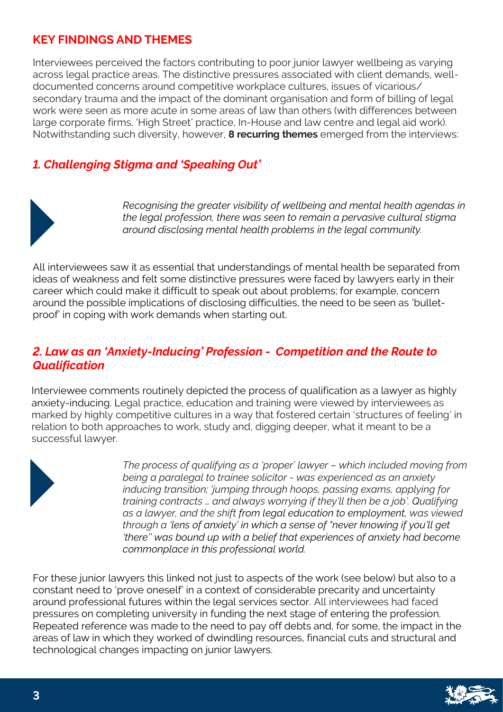## **KEY FINDINGS AND THEMES**

Interviewees perceived the factors contributing to poor junior lawyer wellbeing as varying across legal practice areas. The distinctive pressures associated with client demands, welldocumented concerns around competitive workplace cultures, issues of vicarious/ secondary trauma and the impact of the dominant organisation and form of billing of legal work were seen as more acute in some areas of law than others (with differences between large corporate firms, 'High Street' practice, In-House and law centre and legal aid work). Notwithstanding such diversity, however, **8 recurring themes** emerged from the interviews:

## *1. Challenging Stigma and 'Speaking Out'*



*Recognising the greater visibility of wellbeing and mental health agendas in the legal profession, there was seen to remain a pervasive cultural stigma around disclosing mental health problems in the legal community.* 

All interviewees saw it as essential that understandings of mental health be separated from ideas of weakness and felt some distinctive pressures were faced by lawyers early in their career which could make it difficult to speak out about problems; for example, concern around the possible implications of disclosing difficulties, the need to be seen as 'bulletproof' in coping with work demands when starting out.

#### *2. Law as an 'Anxiety-Inducing' Profession - Competition and the Route to Qualification*

Interviewee comments routinely depicted the process of qualification as a lawyer as highly anxiety-inducing. Legal practice, education and training were viewed by interviewees as marked by highly competitive cultures in a way that fostered certain 'structures of feeling' in relation to both approaches to work, study and, digging deeper, what it meant to be a successful lawyer.



*The process of qualifying as a 'proper' lawyer – which included moving from being a paralegal to trainee solicitor - was experienced as an anxiety inducing transition; 'jumping through hoops, passing exams, applying for training contracts … and always worrying if they'll then be a job'. Qualifying as a lawyer, and the shift from legal education to employment, was viewed through a 'lens of anxiety' in which a sense of "never knowing if you'll get 'there'' was bound up with a belief that experiences of anxiety had become commonplace in this professional world.* 

For these junior lawyers this linked not just to aspects of the work (see below) but also to a constant need to 'prove oneself' in a context of considerable precarity and uncertainty around professional futures within the legal services sector. All interviewees had faced pressures on completing university in funding the next stage of entering the profession. Repeated reference was made to the need to pay off debts and, for some, the impact in the areas of law in which they worked of dwindling resources, financial cuts and structural and technological changes impacting on junior lawyers.

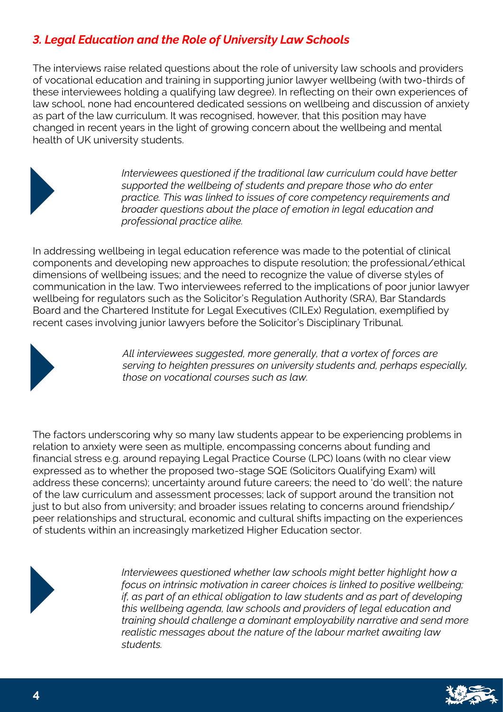## *3. Legal Education and the Role of University Law Schools*

The interviews raise related questions about the role of university law schools and providers of vocational education and training in supporting junior lawyer wellbeing (with two-thirds of these interviewees holding a qualifying law degree). In reflecting on their own experiences of law school, none had encountered dedicated sessions on wellbeing and discussion of anxiety as part of the law curriculum. It was recognised, however, that this position may have changed in recent years in the light of growing concern about the wellbeing and mental health of UK university students.



*Interviewees questioned if the traditional law curriculum could have better supported the wellbeing of students and prepare those who do enter practice. This was linked to issues of core competency requirements and broader questions about the place of emotion in legal education and professional practice alike.* 

In addressing wellbeing in legal education reference was made to the potential of clinical components and developing new approaches to dispute resolution; the professional/ethical dimensions of wellbeing issues; and the need to recognize the value of diverse styles of communication in the law. Two interviewees referred to the implications of poor junior lawyer wellbeing for regulators such as the Solicitor's Regulation Authority (SRA), Bar Standards Board and the Chartered Institute for Legal Executives (CILEx) Regulation, exemplified by recent cases involving junior lawyers before the Solicitor's Disciplinary Tribunal.



*All interviewees suggested, more generally, that a vortex of forces are serving to heighten pressures on university students and, perhaps especially, those on vocational courses such as law.* 

The factors underscoring why so many law students appear to be experiencing problems in relation to anxiety were seen as multiple, encompassing concerns about funding and financial stress e.g. around repaying Legal Practice Course (LPC) loans (with no clear view expressed as to whether the proposed two-stage SQE (Solicitors Qualifying Exam) will address these concerns); uncertainty around future careers; the need to 'do well'; the nature of the law curriculum and assessment processes; lack of support around the transition not just to but also from university; and broader issues relating to concerns around friendship/ peer relationships and structural, economic and cultural shifts impacting on the experiences of students within an increasingly marketized Higher Education sector.



*Interviewees questioned whether law schools might better highlight how a focus on intrinsic motivation in career choices is linked to positive wellbeing; if, as part of an ethical obligation to law students and as part of developing this wellbeing agenda, law schools and providers of legal education and training should challenge a dominant employability narrative and send more realistic messages about the nature of the labour market awaiting law students.* 

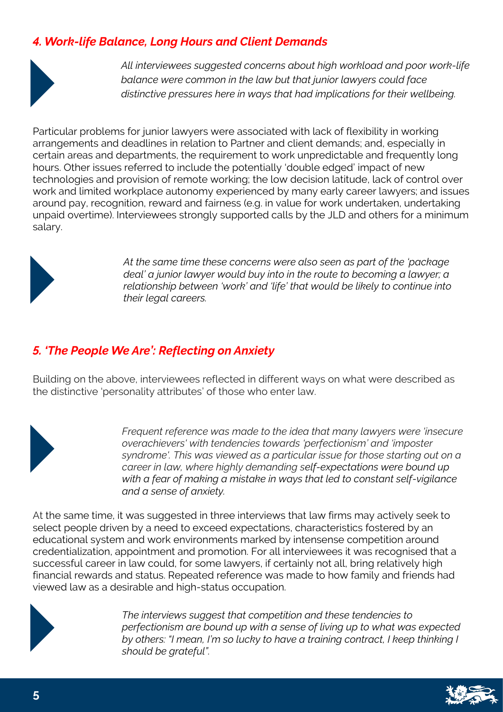## *4. Work-life Balance, Long Hours and Client Demands*



*All interviewees suggested concerns about high workload and poor work-life balance were common in the law but that junior lawyers could face distinctive pressures here in ways that had implications for their wellbeing.* 

Particular problems for junior lawyers were associated with lack of flexibility in working arrangements and deadlines in relation to Partner and client demands; and, especially in certain areas and departments, the requirement to work unpredictable and frequently long hours. Other issues referred to include the potentially 'double edged' impact of new technologies and provision of remote working; the low decision latitude, lack of control over work and limited workplace autonomy experienced by many early career lawyers; and issues around pay, recognition, reward and fairness (e.g. in value for work undertaken, undertaking unpaid overtime). Interviewees strongly supported calls by the JLD and others for a minimum salary.



*At the same time these concerns were also seen as part of the 'package deal' a junior lawyer would buy into in the route to becoming a lawyer; a relationship between 'work' and 'life' that would be likely to continue into their legal careers.*

## *5. 'The People We Are': Reflecting on Anxiety*

Building on the above, interviewees reflected in different ways on what were described as the distinctive 'personality attributes' of those who enter law.



*Frequent reference was made to the idea that many lawyers were 'insecure overachievers' with tendencies towards 'perfectionism' and 'imposter syndrome'. This was viewed as a particular issue for those starting out on a career in law, where highly demanding self-expectations were bound up with a fear of making a mistake in ways that led to constant self-vigilance and a sense of anxiety.*

At the same time, it was suggested in three interviews that law firms may actively seek to select people driven by a need to exceed expectations, characteristics fostered by an educational system and work environments marked by intensense competition around credentialization, appointment and promotion. For all interviewees it was recognised that a successful career in law could, for some lawyers, if certainly not all, bring relatively high financial rewards and status. Repeated reference was made to how family and friends had viewed law as a desirable and high-status occupation.



*The interviews suggest that competition and these tendencies to perfectionism are bound up with a sense of living up to what was expected by others: "I mean, I'm so lucky to have a training contract, I keep thinking I should be grateful".*

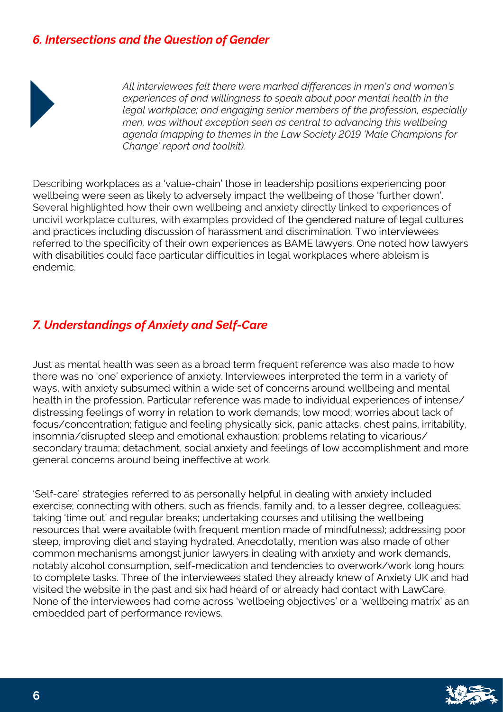#### *6. Intersections and the Question of Gender*



*All interviewees felt there were marked differences in men's and women's experiences of and willingness to speak about poor mental health in the legal workplace; and engaging senior members of the profession, especially men, was without exception seen as central to advancing this wellbeing agenda (mapping to themes in the Law Society 2019 'Male Champions for Change' report and toolkit).* 

Describing workplaces as a 'value-chain' those in leadership positions experiencing poor wellbeing were seen as likely to adversely impact the wellbeing of those 'further down'. Several highlighted how their own wellbeing and anxiety directly linked to experiences of uncivil workplace cultures, with examples provided of the gendered nature of legal cultures and practices including discussion of harassment and discrimination. Two interviewees referred to the specificity of their own experiences as BAME lawyers. One noted how lawyers with disabilities could face particular difficulties in legal workplaces where ableism is endemic.

## *7. Understandings of Anxiety and Self-Care*

Just as mental health was seen as a broad term frequent reference was also made to how there was no 'one' experience of anxiety. Interviewees interpreted the term in a variety of ways, with anxiety subsumed within a wide set of concerns around wellbeing and mental health in the profession. Particular reference was made to individual experiences of intense/ distressing feelings of worry in relation to work demands; low mood; worries about lack of focus/concentration; fatigue and feeling physically sick, panic attacks, chest pains, irritability, insomnia/disrupted sleep and emotional exhaustion; problems relating to vicarious/ secondary trauma; detachment, social anxiety and feelings of low accomplishment and more general concerns around being ineffective at work.

'Self-care' strategies referred to as personally helpful in dealing with anxiety included exercise; connecting with others, such as friends, family and, to a lesser degree, colleagues; taking 'time out' and regular breaks; undertaking courses and utilising the wellbeing resources that were available (with frequent mention made of mindfulness); addressing poor sleep, improving diet and staying hydrated. Anecdotally, mention was also made of other common mechanisms amongst junior lawyers in dealing with anxiety and work demands, notably alcohol consumption, self-medication and tendencies to overwork/work long hours to complete tasks. Three of the interviewees stated they already knew of Anxiety UK and had visited the website in the past and six had heard of or already had contact with LawCare. None of the interviewees had come across 'wellbeing objectives' or a 'wellbeing matrix' as an embedded part of performance reviews.

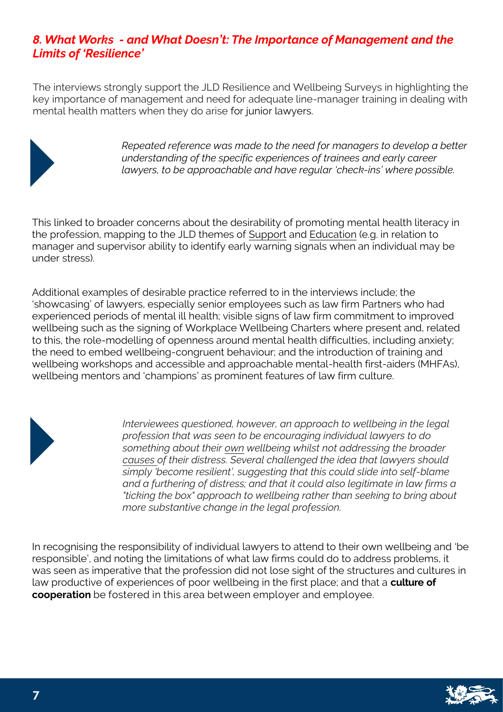## *8. What Works - and What Doesn't: The Importance of Management and the Limits of 'Resilience'*

The interviews strongly support the JLD Resilience and Wellbeing Surveys in highlighting the key importance of management and need for adequate line-manager training in dealing with mental health matters when they do arise for junior lawyers.



*Repeated reference was made to the need for managers to develop a better understanding of the specific experiences of trainees and early career lawyers, to be approachable and have regular 'check-ins' where possible.* 

This linked to broader concerns about the desirability of promoting mental health literacy in the profession, mapping to the JLD themes of Support and Education (e.g. in relation to manager and supervisor ability to identify early warning signals when an individual may be under stress).

Additional examples of desirable practice referred to in the interviews include; the 'showcasing' of lawyers, especially senior employees such as law firm Partners who had experienced periods of mental ill health; visible signs of law firm commitment to improved wellbeing such as the signing of Workplace Wellbeing Charters where present and, related to this, the role-modelling of openness around mental health difficulties, including anxiety; the need to embed wellbeing-congruent behaviour; and the introduction of training and wellbeing workshops and accessible and approachable mental-health first-aiders (MHFAs), wellbeing mentors and 'champions' as prominent features of law firm culture.

*Interviewees questioned, however, an approach to wellbeing in the legal profession that was seen to be encouraging individual lawyers to do something about their own wellbeing whilst not addressing the broader causes of their distress. Several challenged the idea that lawyers should simply 'become resilient', suggesting that this could slide into self-blame and a furthering of distress; and that it could also legitimate in law firms a "ticking the box" approach to wellbeing rather than seeking to bring about more substantive change in the legal profession.*

In recognising the responsibility of individual lawyers to attend to their own wellbeing and 'be responsible', and noting the limitations of what law firms could do to address problems, it was seen as imperative that the profession did not lose sight of the structures and cultures in law productive of experiences of poor wellbeing in the first place; and that a **culture of cooperation** be fostered in this area between employer and employee.

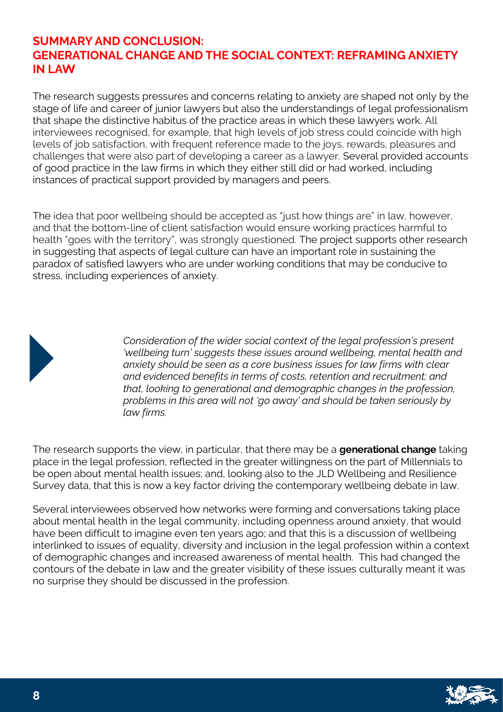#### **SUMMARY AND CONCLUSION: GENERATIONAL CHANGE AND THE SOCIAL CONTEXT: REFRAMING ANXIETY IN LAW**

The research suggests pressures and concerns relating to anxiety are shaped not only by the stage of life and career of junior lawyers but also the understandings of legal professionalism that shape the distinctive habitus of the practice areas in which these lawyers work. All interviewees recognised, for example, that high levels of job stress could coincide with high levels of job satisfaction, with frequent reference made to the joys, rewards, pleasures and challenges that were also part of developing a career as a lawyer. Several provided accounts of good practice in the law firms in which they either still did or had worked, including instances of practical support provided by managers and peers.

The idea that poor wellbeing should be accepted as "just how things are" in law, however, and that the bottom-line of client satisfaction would ensure working practices harmful to health "goes with the territory", was strongly questioned. The project supports other research in suggesting that aspects of legal culture can have an important role in sustaining the paradox of satisfied lawyers who are under working conditions that may be conducive to stress, including experiences of anxiety.



*Consideration of the wider social context of the legal profession's present 'wellbeing turn' suggests these issues around wellbeing, mental health and anxiety should be seen as a core business issues for law firms with clear and evidenced benefits in terms of costs, retention and recruitment; and that, looking to generational and demographic changes in the profession, problems in this area will not 'go away' and should be taken seriously by law firms.* 

The research supports the view, in particular, that there may be a **generational change** taking place in the legal profession, reflected in the greater willingness on the part of Millennials to be open about mental health issues; and, looking also to the JLD Wellbeing and Resilience Survey data, that this is now a key factor driving the contemporary wellbeing debate in law.

Several interviewees observed how networks were forming and conversations taking place about mental health in the legal community, including openness around anxiety, that would have been difficult to imagine even ten years ago; and that this is a discussion of wellbeing interlinked to issues of equality, diversity and inclusion in the legal profession within a context of demographic changes and increased awareness of mental health. This had changed the contours of the debate in law and the greater visibility of these issues culturally meant it was no surprise they should be discussed in the profession.

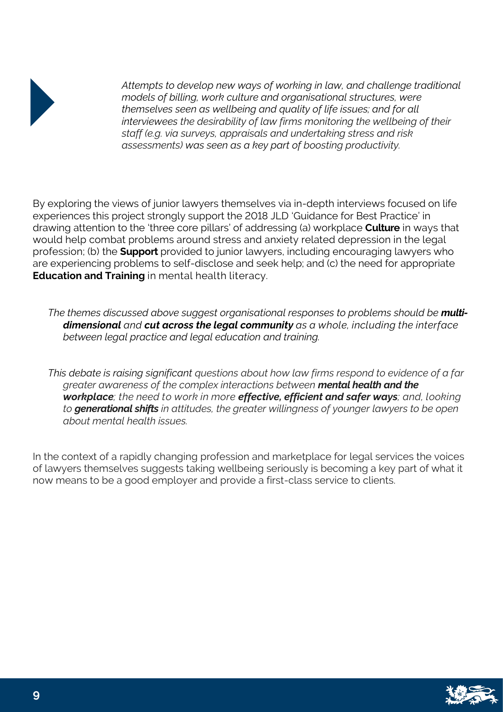

*Attempts to develop new ways of working in law, and challenge traditional models of billing, work culture and organisational structures, were themselves seen as wellbeing and quality of life issues; and for all interviewees the desirability of law firms monitoring the wellbeing of their staff (e.g. via surveys, appraisals and undertaking stress and risk assessments) was seen as a key part of boosting productivity.*

By exploring the views of junior lawyers themselves via in-depth interviews focused on life experiences this project strongly support the 2018 JLD 'Guidance for Best Practice' in drawing attention to the 'three core pillars' of addressing (a) workplace **Culture** in ways that would help combat problems around stress and anxiety related depression in the legal profession; (b) the **Support** provided to junior lawyers, including encouraging lawyers who are experiencing problems to self-disclose and seek help; and (c) the need for appropriate **Education and Training** in mental health literacy.

*The themes discussed above suggest organisational responses to problems should be multidimensional and cut across the legal community as a whole, including the interface between legal practice and legal education and training.* 

*This debate is raising significant questions about how law firms respond to evidence of a far greater awareness of the complex interactions between mental health and the workplace; the need to work in more effective, efficient and safer ways; and, looking to generational shifts in attitudes, the greater willingness of younger lawyers to be open about mental health issues.*

In the context of a rapidly changing profession and marketplace for legal services the voices of lawyers themselves suggests taking wellbeing seriously is becoming a key part of what it now means to be a good employer and provide a first-class service to clients.